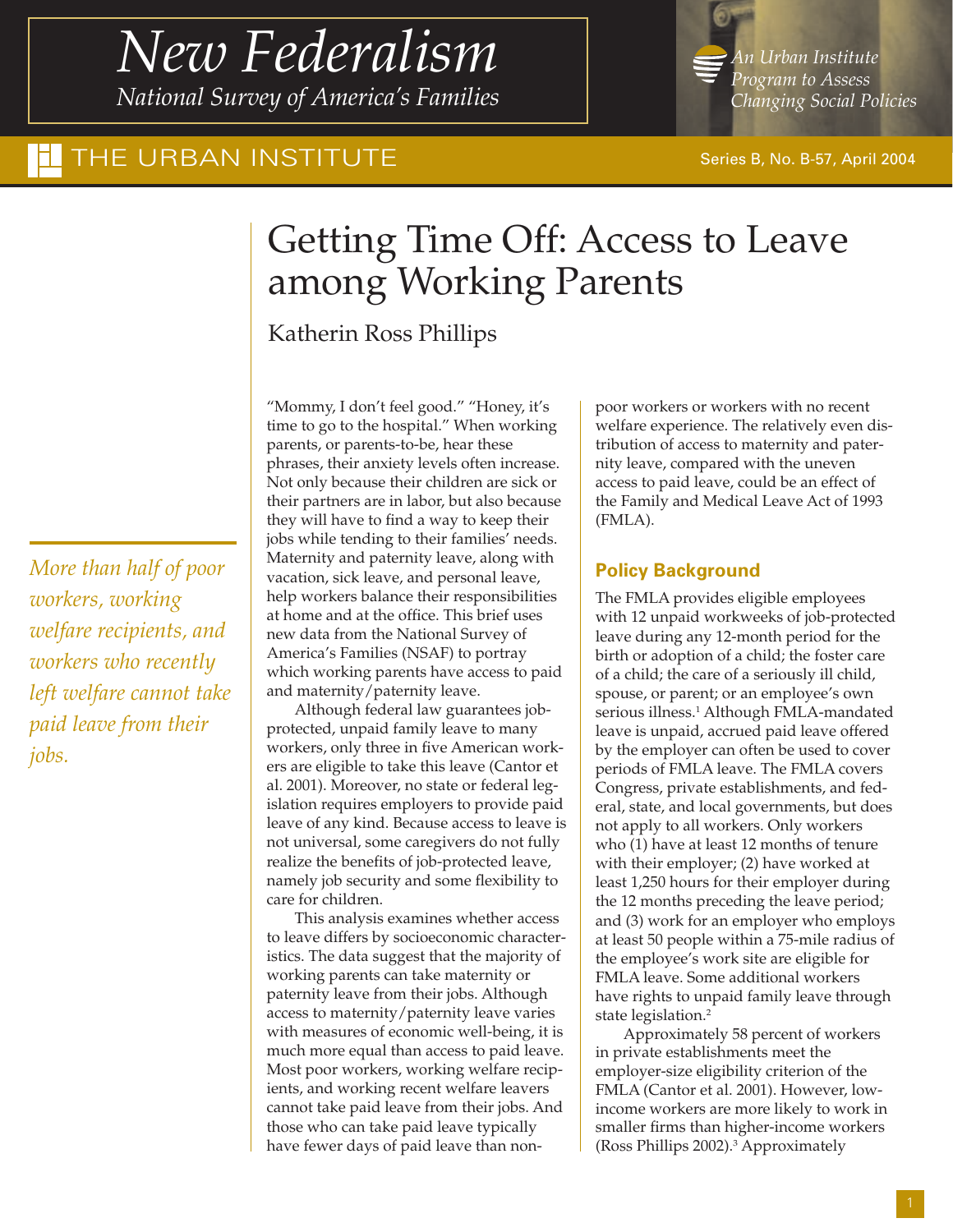## *New Federalism National Survey of America's Families*

THE URBAN INSTITUTE Series B, No. B-57, April 2004

# Getting Time Off: Access to Leave among Working Parents

Katherin Ross Phillips

*More than half of poor workers, working welfare recipients, and workers who recently left welfare cannot take paid leave from their jobs.*

"Mommy, I don't feel good." "Honey, it's time to go to the hospital." When working parents, or parents-to-be, hear these phrases, their anxiety levels often increase. Not only because their children are sick or their partners are in labor, but also because they will have to find a way to keep their jobs while tending to their families' needs. Maternity and paternity leave, along with vacation, sick leave, and personal leave, help workers balance their responsibilities at home and at the office. This brief uses new data from the National Survey of America's Families (NSAF) to portray which working parents have access to paid and maternity/paternity leave.

Although federal law guarantees jobprotected, unpaid family leave to many workers, only three in five American workers are eligible to take this leave (Cantor et al. 2001). Moreover, no state or federal legislation requires employers to provide paid leave of any kind. Because access to leave is not universal, some caregivers do not fully realize the benefits of job-protected leave, namely job security and some flexibility to care for children.

This analysis examines whether access to leave differs by socioeconomic characteristics. The data suggest that the majority of working parents can take maternity or paternity leave from their jobs. Although access to maternity/paternity leave varies with measures of economic well-being, it is much more equal than access to paid leave. Most poor workers, working welfare recipients, and working recent welfare leavers cannot take paid leave from their jobs. And those who can take paid leave typically have fewer days of paid leave than non-

poor workers or workers with no recent welfare experience. The relatively even distribution of access to maternity and paternity leave, compared with the uneven access to paid leave, could be an effect of the Family and Medical Leave Act of 1993 (FMLA).

## **Policy Background**

The FMLA provides eligible employees with 12 unpaid workweeks of job-protected leave during any 12-month period for the birth or adoption of a child; the foster care of a child; the care of a seriously ill child, spouse, or parent; or an employee's own serious illness.<sup>1</sup> Although FMLA-mandated leave is unpaid, accrued paid leave offered by the employer can often be used to cover periods of FMLA leave. The FMLA covers Congress, private establishments, and federal, state, and local governments, but does not apply to all workers. Only workers who (1) have at least 12 months of tenure with their employer; (2) have worked at least 1,250 hours for their employer during the 12 months preceding the leave period; and (3) work for an employer who employs at least 50 people within a 75-mile radius of the employee's work site are eligible for FMLA leave. Some additional workers have rights to unpaid family leave through state legislation.2

Approximately 58 percent of workers in private establishments meet the employer-size eligibility criterion of the FMLA (Cantor et al. 2001). However, lowincome workers are more likely to work in smaller firms than higher-income workers (Ross Phillips 2002).<sup>3</sup> Approximately

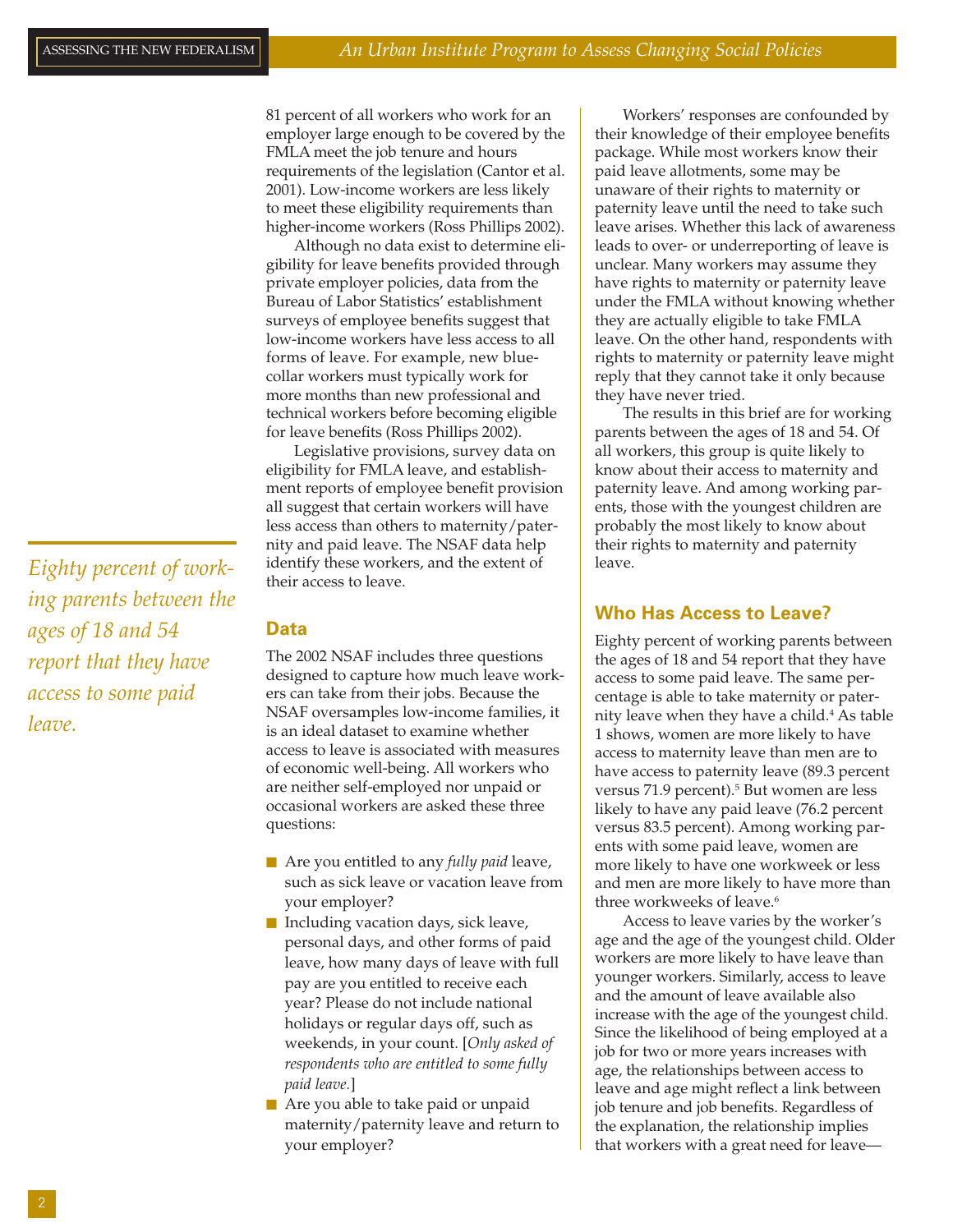81 percent of all workers who work for an employer large enough to be covered by the FMLA meet the job tenure and hours requirements of the legislation (Cantor et al. 2001). Low-income workers are less likely to meet these eligibility requirements than higher-income workers (Ross Phillips 2002).

Although no data exist to determine eligibility for leave benefits provided through private employer policies, data from the Bureau of Labor Statistics' establishment surveys of employee benefits suggest that low-income workers have less access to all forms of leave. For example, new bluecollar workers must typically work for more months than new professional and technical workers before becoming eligible for leave benefits (Ross Phillips 2002).

Legislative provisions, survey data on eligibility for FMLA leave, and establishment reports of employee benefit provision all suggest that certain workers will have less access than others to maternity/paternity and paid leave. The NSAF data help identify these workers, and the extent of their access to leave.

## **Data**

The 2002 NSAF includes three questions designed to capture how much leave workers can take from their jobs. Because the NSAF oversamples low-income families, it is an ideal dataset to examine whether access to leave is associated with measures of economic well-being. All workers who are neither self-employed nor unpaid or occasional workers are asked these three questions:

- Are you entitled to any *fully paid* leave, such as sick leave or vacation leave from your employer?
- Including vacation days, sick leave, personal days, and other forms of paid leave, how many days of leave with full pay are you entitled to receive each year? Please do not include national holidays or regular days off, such as weekends, in your count. [*Only asked of respondents who are entitled to some fully paid leave.*]
- Are you able to take paid or unpaid maternity/paternity leave and return to your employer?

Workers' responses are confounded by their knowledge of their employee benefits package. While most workers know their paid leave allotments, some may be unaware of their rights to maternity or paternity leave until the need to take such leave arises. Whether this lack of awareness leads to over- or underreporting of leave is unclear. Many workers may assume they have rights to maternity or paternity leave under the FMLA without knowing whether they are actually eligible to take FMLA leave. On the other hand, respondents with rights to maternity or paternity leave might reply that they cannot take it only because they have never tried.

The results in this brief are for working parents between the ages of 18 and 54. Of all workers, this group is quite likely to know about their access to maternity and paternity leave. And among working parents, those with the youngest children are probably the most likely to know about their rights to maternity and paternity leave.

#### **Who Has Access to Leave?**

Eighty percent of working parents between the ages of 18 and 54 report that they have access to some paid leave. The same percentage is able to take maternity or paternity leave when they have a child.<sup>4</sup> As table 1 shows, women are more likely to have access to maternity leave than men are to have access to paternity leave (89.3 percent versus 71.9 percent).<sup>5</sup> But women are less likely to have any paid leave (76.2 percent versus 83.5 percent). Among working parents with some paid leave, women are more likely to have one workweek or less and men are more likely to have more than three workweeks of leave.<sup>6</sup>

Access to leave varies by the worker's age and the age of the youngest child. Older workers are more likely to have leave than younger workers. Similarly, access to leave and the amount of leave available also increase with the age of the youngest child. Since the likelihood of being employed at a job for two or more years increases with age, the relationships between access to leave and age might reflect a link between job tenure and job benefits. Regardless of the explanation, the relationship implies that workers with a great need for leave—

*Eighty percent of working parents between the ages of 18 and 54 report that they have access to some paid leave.*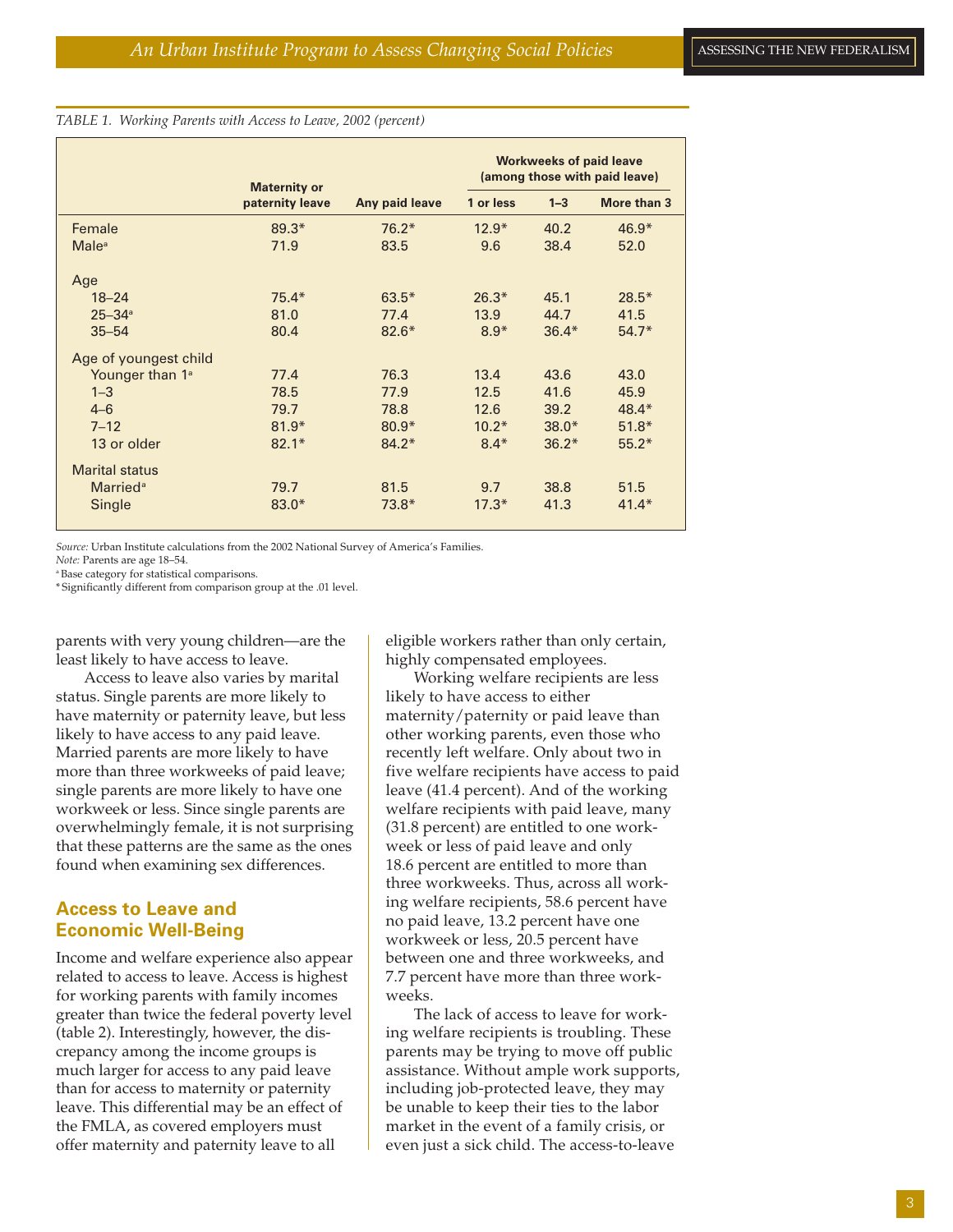#### *TABLE 1. Working Parents with Access to Leave, 2002 (percent)*

|                             | <b>Maternity or</b> |                | <b>Workweeks of paid leave</b><br>(among those with paid leave) |         |             |
|-----------------------------|---------------------|----------------|-----------------------------------------------------------------|---------|-------------|
|                             | paternity leave     | Any paid leave | 1 or less                                                       | $1 - 3$ | More than 3 |
| Female                      | $89.3*$             | $76.2*$        | $12.9*$                                                         | 40.2    | $46.9*$     |
| <b>Male</b> <sup>a</sup>    | 71.9                | 83.5           | 9.6                                                             | 38.4    | 52.0        |
| Age                         |                     |                |                                                                 |         |             |
| $18 - 24$                   | $75.4*$             | $63.5*$        | $26.3*$                                                         | 45.1    | $28.5*$     |
| $25 - 34$ <sup>a</sup>      | 81.0                | 77.4           | 13.9                                                            | 44.7    | 41.5        |
| $35 - 54$                   | 80.4                | $82.6*$        | $8.9*$                                                          | $36.4*$ | $54.7*$     |
| Age of youngest child       |                     |                |                                                                 |         |             |
| Younger than 1 <sup>ª</sup> | 77.4                | 76.3           | 13.4                                                            | 43.6    | 43.0        |
| $1 - 3$                     | 78.5                | 77.9           | 12.5                                                            | 41.6    | 45.9        |
| $4 - 6$                     | 79.7                | 78.8           | 12.6                                                            | 39.2    | $48.4*$     |
| $7 - 12$                    | $81.9*$             | $80.9*$        | $10.2*$                                                         | $38.0*$ | $51.8*$     |
| 13 or older                 | $82.1*$             | $84.2*$        | $8.4*$                                                          | $36.2*$ | $55.2*$     |
| <b>Marital status</b>       |                     |                |                                                                 |         |             |
| <b>Married</b> <sup>a</sup> | 79.7                | 81.5           | 9.7                                                             | 38.8    | 51.5        |
| Single                      | $83.0*$             | $73.8*$        | $17.3*$                                                         | 41.3    | $41.4*$     |

*Source:* Urban Institute calculations from the 2002 National Survey of America's Families.

*Note:* Parents are age 18–54.

a Base category for statistical comparisons.

\* Significantly different from comparison group at the .01 level.

parents with very young children—are the least likely to have access to leave.

Access to leave also varies by marital status. Single parents are more likely to have maternity or paternity leave, but less likely to have access to any paid leave. Married parents are more likely to have more than three workweeks of paid leave; single parents are more likely to have one workweek or less. Since single parents are overwhelmingly female, it is not surprising that these patterns are the same as the ones found when examining sex differences.

## **Access to Leave and Economic Well-Being**

Income and welfare experience also appear related to access to leave. Access is highest for working parents with family incomes greater than twice the federal poverty level (table 2). Interestingly, however, the discrepancy among the income groups is much larger for access to any paid leave than for access to maternity or paternity leave. This differential may be an effect of the FMLA, as covered employers must offer maternity and paternity leave to all

eligible workers rather than only certain, highly compensated employees.

Working welfare recipients are less likely to have access to either maternity/paternity or paid leave than other working parents, even those who recently left welfare. Only about two in five welfare recipients have access to paid leave (41.4 percent). And of the working welfare recipients with paid leave, many (31.8 percent) are entitled to one workweek or less of paid leave and only 18.6 percent are entitled to more than three workweeks. Thus, across all working welfare recipients, 58.6 percent have no paid leave, 13.2 percent have one workweek or less, 20.5 percent have between one and three workweeks, and 7.7 percent have more than three workweeks.

The lack of access to leave for working welfare recipients is troubling. These parents may be trying to move off public assistance. Without ample work supports, including job-protected leave, they may be unable to keep their ties to the labor market in the event of a family crisis, or even just a sick child. The access-to-leave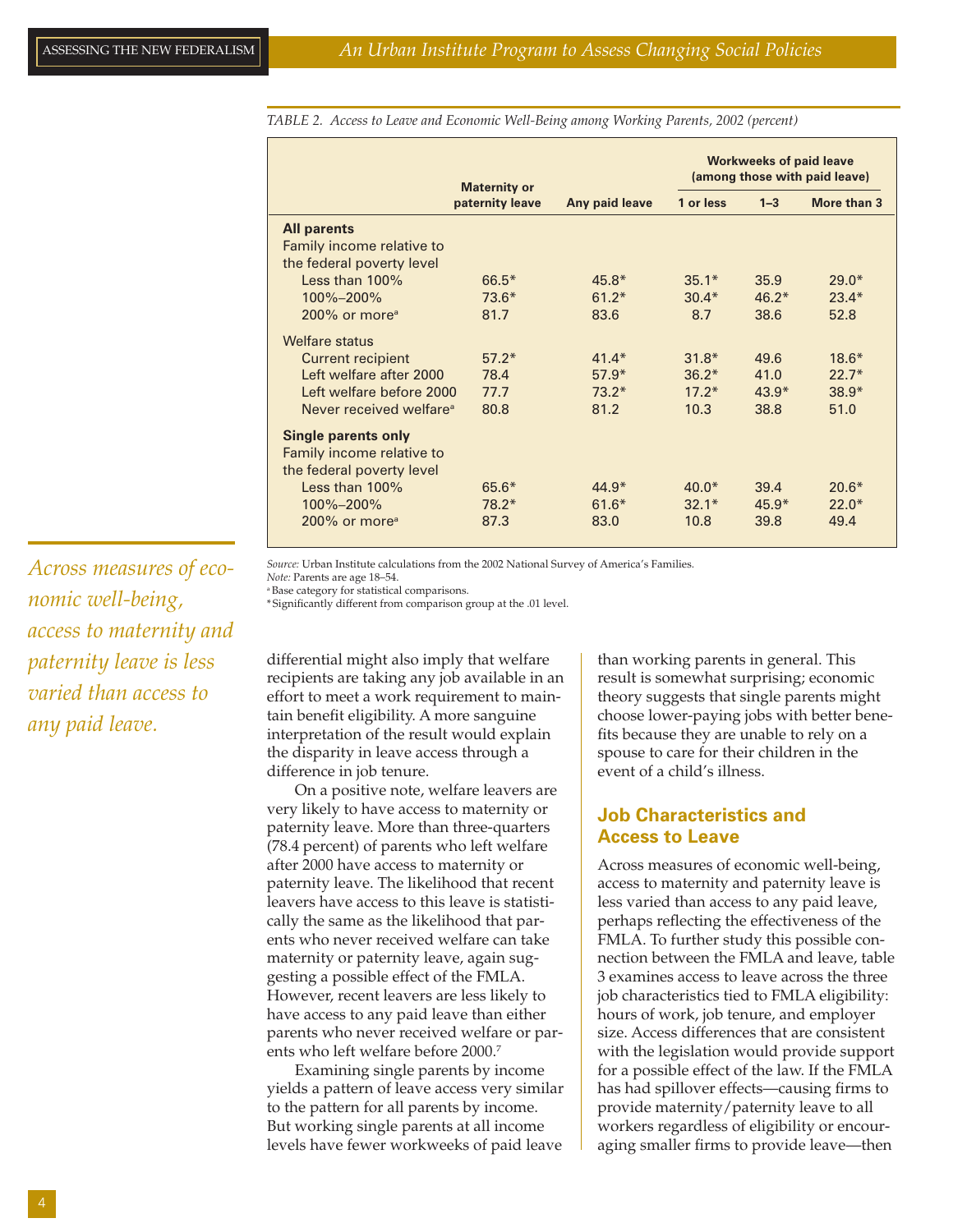*TABLE 2. Access to Leave and Economic Well-Being among Working Parents, 2002 (percent)*

|                                     | <b>Maternity or</b><br>paternity leave |                | <b>Workweeks of paid leave</b><br>(among those with paid leave) |         |             |
|-------------------------------------|----------------------------------------|----------------|-----------------------------------------------------------------|---------|-------------|
|                                     |                                        | Any paid leave | 1 or less                                                       | $1 - 3$ | More than 3 |
| <b>All parents</b>                  |                                        |                |                                                                 |         |             |
| Family income relative to           |                                        |                |                                                                 |         |             |
| the federal poverty level           |                                        |                |                                                                 |         |             |
| Less than $100\%$                   | $66.5*$                                | $45.8*$        | $35.1*$                                                         | 35.9    | $29.0*$     |
| 100%-200%                           | $73.6*$                                | $61.2*$        | $30.4*$                                                         | $46.2*$ | $23.4*$     |
| $200\%$ or more <sup>a</sup>        | 81.7                                   | 83.6           | 8.7                                                             | 38.6    | 52.8        |
| Welfare status                      |                                        |                |                                                                 |         |             |
| <b>Current recipient</b>            | $57.2*$                                | $41.4*$        | $31.8*$                                                         | 49.6    | $18.6*$     |
| Left welfare after 2000             | 78.4                                   | $57.9*$        | $36.2*$                                                         | 41.0    | $22.7*$     |
| Left welfare before 2000            | 77.7                                   | $73.2*$        | $17.2*$                                                         | $43.9*$ | $38.9*$     |
| Never received welfare <sup>a</sup> | 80.8                                   | 81.2           | 10.3                                                            | 38.8    | 51.0        |
| <b>Single parents only</b>          |                                        |                |                                                                 |         |             |
| Family income relative to           |                                        |                |                                                                 |         |             |
| the federal poverty level           |                                        |                |                                                                 |         |             |
| Less than $100\%$                   | $65.6*$                                | $44.9*$        | $40.0*$                                                         | 39.4    | $20.6*$     |
| 100%-200%                           | $78.2*$                                | $61.6*$        | $32.1*$                                                         | $45.9*$ | $22.0*$     |
| 200% or more <sup>a</sup>           | 87.3                                   | 83.0           | 10.8                                                            | 39.8    | 49.4        |

*Across measures of economic well-being, access to maternity and paternity leave is less varied than access to any paid leave.*

*Source:* Urban Institute calculations from the 2002 National Survey of America's Families.

*Note:* Parents are age 18–54. a Base category for statistical comparisons.

\* Significantly different from comparison group at the .01 level.

differential might also imply that welfare recipients are taking any job available in an effort to meet a work requirement to maintain benefit eligibility. A more sanguine interpretation of the result would explain the disparity in leave access through a difference in job tenure.

On a positive note, welfare leavers are very likely to have access to maternity or paternity leave. More than three-quarters (78.4 percent) of parents who left welfare after 2000 have access to maternity or paternity leave. The likelihood that recent leavers have access to this leave is statistically the same as the likelihood that parents who never received welfare can take maternity or paternity leave, again suggesting a possible effect of the FMLA. However, recent leavers are less likely to have access to any paid leave than either parents who never received welfare or parents who left welfare before 2000.7

Examining single parents by income yields a pattern of leave access very similar to the pattern for all parents by income. But working single parents at all income levels have fewer workweeks of paid leave

than working parents in general. This result is somewhat surprising; economic theory suggests that single parents might choose lower-paying jobs with better benefits because they are unable to rely on a spouse to care for their children in the event of a child's illness.

## **Job Characteristics and Access to Leave**

Across measures of economic well-being, access to maternity and paternity leave is less varied than access to any paid leave, perhaps reflecting the effectiveness of the FMLA. To further study this possible connection between the FMLA and leave, table 3 examines access to leave across the three job characteristics tied to FMLA eligibility: hours of work, job tenure, and employer size. Access differences that are consistent with the legislation would provide support for a possible effect of the law. If the FMLA has had spillover effects—causing firms to provide maternity/paternity leave to all workers regardless of eligibility or encouraging smaller firms to provide leave—then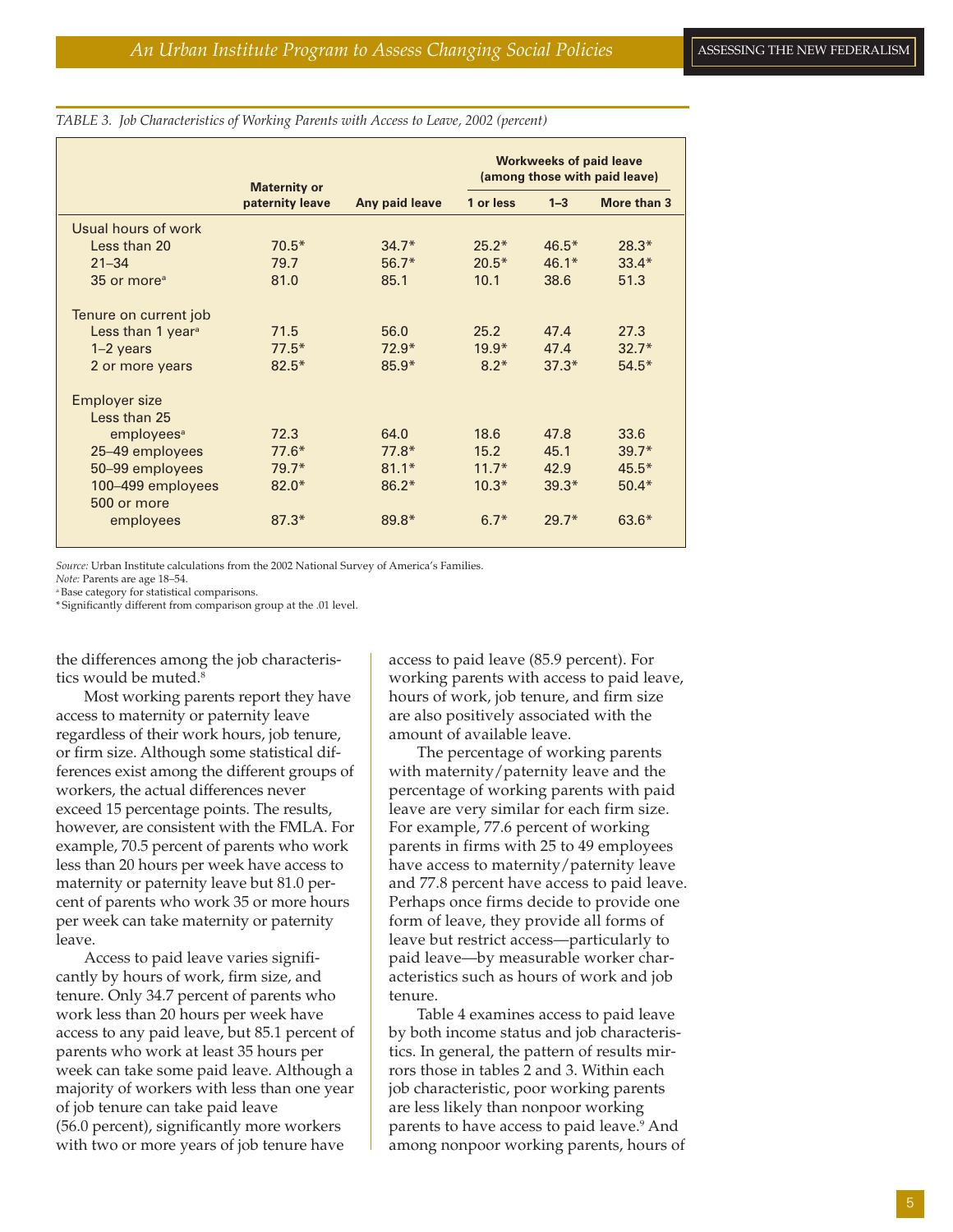|                                  | <b>Maternity or</b><br>paternity leave |                | <b>Workweeks of paid leave</b><br>(among those with paid leave) |         |             |
|----------------------------------|----------------------------------------|----------------|-----------------------------------------------------------------|---------|-------------|
|                                  |                                        | Any paid leave | 1 or less                                                       | $1 - 3$ | More than 3 |
| Usual hours of work              |                                        |                |                                                                 |         |             |
| Less than 20                     | $70.5*$                                | $34.7*$        | $25.2*$                                                         | $46.5*$ | $28.3*$     |
| $21 - 34$                        | 79.7                                   | $56.7*$        | $20.5*$                                                         | $46.1*$ | $33.4*$     |
| 35 or more <sup>a</sup>          | 81.0                                   | 85.1           | 10.1                                                            | 38.6    | 51.3        |
| Tenure on current job            |                                        |                |                                                                 |         |             |
| Less than 1 year <sup>a</sup>    | 71.5                                   | 56.0           | 25.2                                                            | 47.4    | 27.3        |
| $1-2$ years                      | $77.5*$                                | $72.9*$        | $19.9*$                                                         | 47.4    | $32.7*$     |
| 2 or more years                  | $82.5*$                                | $85.9*$        | $8.2*$                                                          | $37.3*$ | $54.5*$     |
| <b>Employer size</b>             |                                        |                |                                                                 |         |             |
| Less than 25                     |                                        |                |                                                                 |         |             |
| employees <sup>a</sup>           | 72.3                                   | 64.0           | 18.6                                                            | 47.8    | 33.6        |
| 25-49 employees                  | $77.6*$                                | $77.8*$        | 15.2                                                            | 45.1    | $39.7*$     |
| 50-99 employees                  | $79.7*$                                | $81.1*$        | $11.7*$                                                         | 42.9    | $45.5*$     |
| 100-499 employees<br>500 or more | $82.0*$                                | $86.2*$        | $10.3*$                                                         | $39.3*$ | $50.4*$     |
| employees                        | $87.3*$                                | $89.8*$        | $6.7*$                                                          | $29.7*$ | $63.6*$     |

#### *TABLE 3. Job Characteristics of Working Parents with Access to Leave, 2002 (percent)*

*Source:* Urban Institute calculations from the 2002 National Survey of America's Families.

*Note:* Parents are age 18–54.

a Base category for statistical comparisons. \* Significantly different from comparison group at the .01 level.

the differences among the job characteristics would be muted.<sup>8</sup>

Most working parents report they have access to maternity or paternity leave regardless of their work hours, job tenure, or firm size. Although some statistical differences exist among the different groups of workers, the actual differences never exceed 15 percentage points. The results, however, are consistent with the FMLA. For example, 70.5 percent of parents who work less than 20 hours per week have access to maternity or paternity leave but 81.0 percent of parents who work 35 or more hours per week can take maternity or paternity leave.

Access to paid leave varies significantly by hours of work, firm size, and tenure. Only 34.7 percent of parents who work less than 20 hours per week have access to any paid leave, but 85.1 percent of parents who work at least 35 hours per week can take some paid leave. Although a majority of workers with less than one year of job tenure can take paid leave (56.0 percent), significantly more workers with two or more years of job tenure have

access to paid leave (85.9 percent). For working parents with access to paid leave, hours of work, job tenure, and firm size are also positively associated with the amount of available leave.

The percentage of working parents with maternity/paternity leave and the percentage of working parents with paid leave are very similar for each firm size. For example, 77.6 percent of working parents in firms with 25 to 49 employees have access to maternity/paternity leave and 77.8 percent have access to paid leave. Perhaps once firms decide to provide one form of leave, they provide all forms of leave but restrict access—particularly to paid leave—by measurable worker characteristics such as hours of work and job tenure.

Table 4 examines access to paid leave by both income status and job characteristics. In general, the pattern of results mirrors those in tables 2 and 3. Within each job characteristic, poor working parents are less likely than nonpoor working parents to have access to paid leave.<sup>9</sup> And among nonpoor working parents, hours of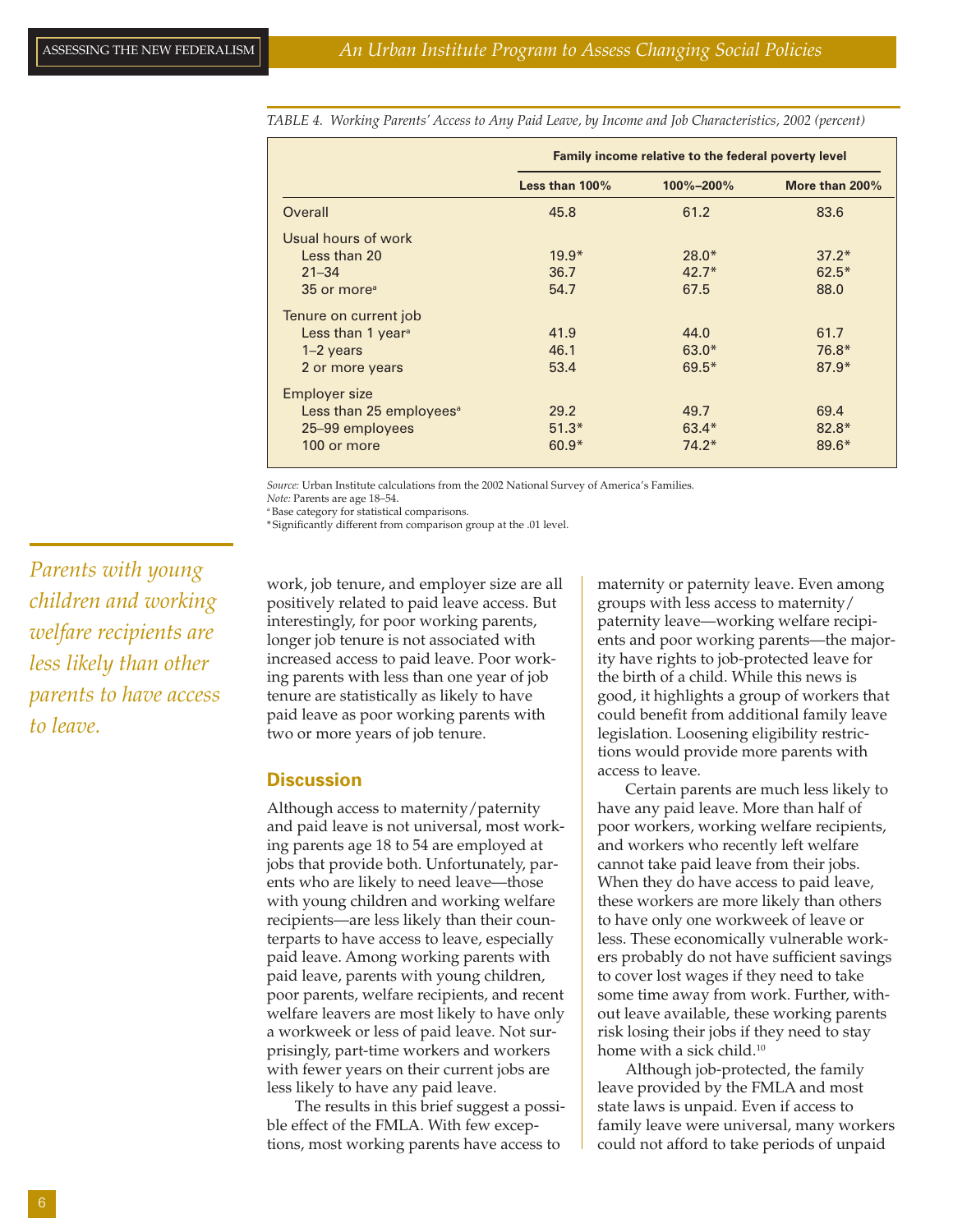|                                     | Family income relative to the federal poverty level |           |                |  |
|-------------------------------------|-----------------------------------------------------|-----------|----------------|--|
|                                     | Less than 100%                                      | 100%-200% | More than 200% |  |
| Overall                             | 45.8                                                | 61.2      | 83.6           |  |
| Usual hours of work                 |                                                     |           |                |  |
| Less than 20                        | $19.9*$                                             | $28.0*$   | $37.2*$        |  |
| $21 - 34$                           | 36.7                                                | $42.7*$   | $62.5*$        |  |
| 35 or more <sup>a</sup>             | 54.7                                                | 67.5      | 88.0           |  |
| Tenure on current job               |                                                     |           |                |  |
| Less than 1 year <sup>a</sup>       | 41.9                                                | 44.0      | 61.7           |  |
| $1-2$ years                         | 46.1                                                | $63.0*$   | $76.8*$        |  |
| 2 or more years                     | 53.4                                                | $69.5*$   | $87.9*$        |  |
| <b>Employer size</b>                |                                                     |           |                |  |
| Less than 25 employees <sup>a</sup> | 29.2                                                | 49.7      | 69.4           |  |
| 25-99 employees                     | $51.3*$                                             | $63.4*$   | $82.8*$        |  |
| 100 or more                         | $60.9*$                                             | $74.2*$   | $89.6*$        |  |

*TABLE 4. Working Parents' Access to Any Paid Leave, by Income and Job Characteristics, 2002 (percent)*

*Source:* Urban Institute calculations from the 2002 National Survey of America's Families. *Note:* Parents are age 18–54.

a Base category for statistical comparisons.

\* Significantly different from comparison group at the .01 level.

*Parents with young children and working welfare recipients are less likely than other parents to have access to leave.*

work, job tenure, and employer size are all positively related to paid leave access. But interestingly, for poor working parents, longer job tenure is not associated with increased access to paid leave. Poor working parents with less than one year of job tenure are statistically as likely to have paid leave as poor working parents with two or more years of job tenure.

#### **Discussion**

Although access to maternity/paternity and paid leave is not universal, most working parents age 18 to 54 are employed at jobs that provide both. Unfortunately, parents who are likely to need leave—those with young children and working welfare recipients—are less likely than their counterparts to have access to leave, especially paid leave. Among working parents with paid leave, parents with young children, poor parents, welfare recipients, and recent welfare leavers are most likely to have only a workweek or less of paid leave. Not surprisingly, part-time workers and workers with fewer years on their current jobs are less likely to have any paid leave.

The results in this brief suggest a possible effect of the FMLA. With few exceptions, most working parents have access to

maternity or paternity leave. Even among groups with less access to maternity/ paternity leave—working welfare recipients and poor working parents—the majority have rights to job-protected leave for the birth of a child. While this news is good, it highlights a group of workers that could benefit from additional family leave legislation. Loosening eligibility restrictions would provide more parents with access to leave.

Certain parents are much less likely to have any paid leave. More than half of poor workers, working welfare recipients, and workers who recently left welfare cannot take paid leave from their jobs. When they do have access to paid leave, these workers are more likely than others to have only one workweek of leave or less. These economically vulnerable workers probably do not have sufficient savings to cover lost wages if they need to take some time away from work. Further, without leave available, these working parents risk losing their jobs if they need to stay home with a sick child.<sup>10</sup>

Although job-protected, the family leave provided by the FMLA and most state laws is unpaid. Even if access to family leave were universal, many workers could not afford to take periods of unpaid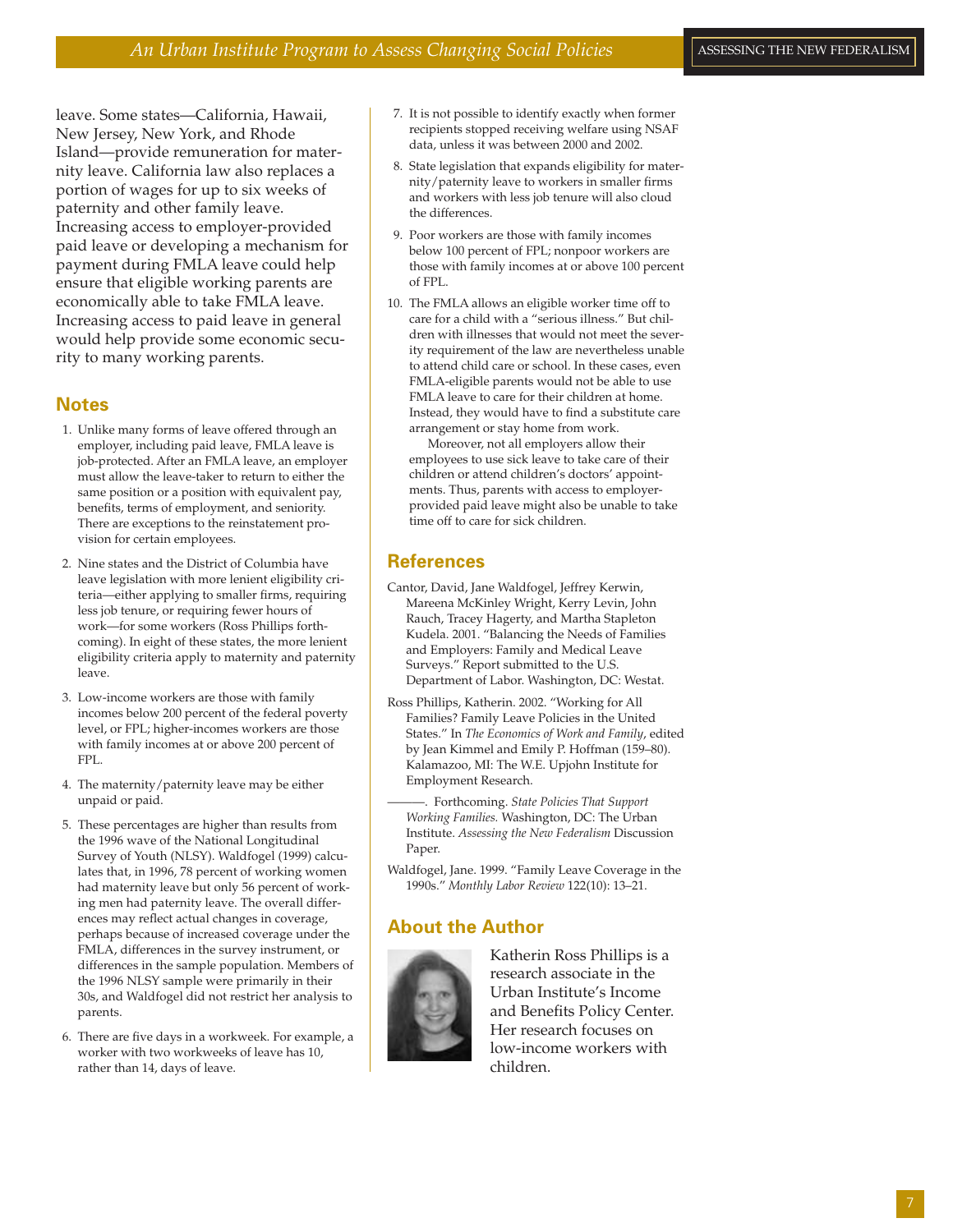leave. Some states—California, Hawaii, New Jersey, New York, and Rhode Island—provide remuneration for maternity leave. California law also replaces a portion of wages for up to six weeks of paternity and other family leave. Increasing access to employer-provided paid leave or developing a mechanism for payment during FMLA leave could help ensure that eligible working parents are economically able to take FMLA leave. Increasing access to paid leave in general would help provide some economic security to many working parents.

## **Notes**

- 1. Unlike many forms of leave offered through an employer, including paid leave, FMLA leave is job-protected. After an FMLA leave, an employer must allow the leave-taker to return to either the same position or a position with equivalent pay, benefits, terms of employment, and seniority. There are exceptions to the reinstatement provision for certain employees.
- 2. Nine states and the District of Columbia have leave legislation with more lenient eligibility criteria—either applying to smaller firms, requiring less job tenure, or requiring fewer hours of work—for some workers (Ross Phillips forthcoming). In eight of these states, the more lenient eligibility criteria apply to maternity and paternity leave.
- 3. Low-income workers are those with family incomes below 200 percent of the federal poverty level, or FPL; higher-incomes workers are those with family incomes at or above 200 percent of FPL.
- 4. The maternity/paternity leave may be either unpaid or paid.
- 5. These percentages are higher than results from the 1996 wave of the National Longitudinal Survey of Youth (NLSY). Waldfogel (1999) calculates that, in 1996, 78 percent of working women had maternity leave but only 56 percent of working men had paternity leave. The overall differences may reflect actual changes in coverage, perhaps because of increased coverage under the FMLA, differences in the survey instrument, or differences in the sample population. Members of the 1996 NLSY sample were primarily in their 30s, and Waldfogel did not restrict her analysis to parents.
- 6. There are five days in a workweek. For example, a worker with two workweeks of leave has 10, rather than 14, days of leave.
- 7. It is not possible to identify exactly when former recipients stopped receiving welfare using NSAF data, unless it was between 2000 and 2002.
- 8. State legislation that expands eligibility for maternity/paternity leave to workers in smaller firms and workers with less job tenure will also cloud the differences.
- 9. Poor workers are those with family incomes below 100 percent of FPL; nonpoor workers are those with family incomes at or above 100 percent of FPL.
- 10. The FMLA allows an eligible worker time off to care for a child with a "serious illness." But children with illnesses that would not meet the severity requirement of the law are nevertheless unable to attend child care or school. In these cases, even FMLA-eligible parents would not be able to use FMLA leave to care for their children at home. Instead, they would have to find a substitute care arrangement or stay home from work.

Moreover, not all employers allow their employees to use sick leave to take care of their children or attend children's doctors' appointments. Thus, parents with access to employerprovided paid leave might also be unable to take time off to care for sick children.

#### **References**

- Cantor, David, Jane Waldfogel, Jeffrey Kerwin, Mareena McKinley Wright, Kerry Levin, John Rauch, Tracey Hagerty, and Martha Stapleton Kudela. 2001. "Balancing the Needs of Families and Employers: Family and Medical Leave Surveys." Report submitted to the U.S. Department of Labor. Washington, DC: Westat.
- Ross Phillips, Katherin. 2002. "Working for All Families? Family Leave Policies in the United States." In *The Economics of Work and Family*, edited by Jean Kimmel and Emily P. Hoffman (159–80). Kalamazoo, MI: The W.E. Upjohn Institute for Employment Research.
- ———. Forthcoming. *State Policies That Support Working Families.* Washington, DC: The Urban Institute. *Assessing the New Federalism* Discussion Paper.
- Waldfogel, Jane. 1999. "Family Leave Coverage in the 1990s." *Monthly Labor Review* 122(10): 13–21.

## **About the Author**



Katherin Ross Phillips is a research associate in the Urban Institute's Income and Benefits Policy Center. Her research focuses on low-income workers with children.